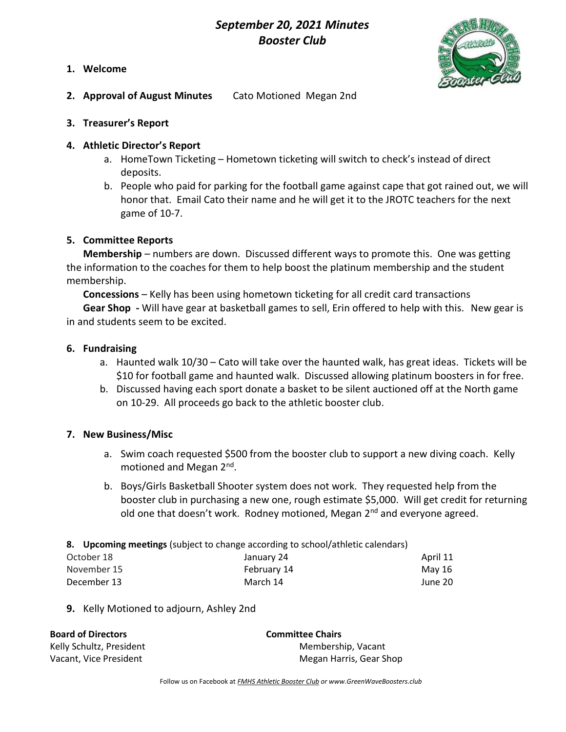# September 20, 2021 Minutes Booster Club





- 2. Approval of August Minutes Cato Motioned Megan 2nd
- 3. Treasurer's Report

# 4. Athletic Director's Report

- a. HomeTown Ticketing Hometown ticketing will switch to check's instead of direct deposits.
- b. People who paid for parking for the football game against cape that got rained out, we will honor that. Email Cato their name and he will get it to the JROTC teachers for the next game of 10-7.

### 5. Committee Reports

Membership – numbers are down. Discussed different ways to promote this. One was getting the information to the coaches for them to help boost the platinum membership and the student membership.

Concessions – Kelly has been using hometown ticketing for all credit card transactions Gear Shop - Will have gear at basketball games to sell, Erin offered to help with this. New gear is in and students seem to be excited.

### 6. Fundraising

- a. Haunted walk 10/30 Cato will take over the haunted walk, has great ideas. Tickets will be \$10 for football game and haunted walk. Discussed allowing platinum boosters in for free.
- b. Discussed having each sport donate a basket to be silent auctioned off at the North game on 10-29. All proceeds go back to the athletic booster club.

# 7. New Business/Misc

- a. Swim coach requested \$500 from the booster club to support a new diving coach. Kelly motioned and Megan 2<sup>nd</sup>.
- b. Boys/Girls Basketball Shooter system does not work. They requested help from the booster club in purchasing a new one, rough estimate \$5,000. Will get credit for returning old one that doesn't work. Rodney motioned, Megan 2<sup>nd</sup> and everyone agreed.
- 8. Upcoming meetings (subject to change according to school/athletic calendars)

| October 18  | January 24  | April 11 |
|-------------|-------------|----------|
| November 15 | February 14 | Mav 16   |
| December 13 | March 14    | June 20  |

9. Kelly Motioned to adjourn, Ashley 2nd

| <b>Board of Directors</b> | <b>Committee Chairs</b> |
|---------------------------|-------------------------|
| Kelly Schultz, President  | Membership, Vacant      |
| Vacant, Vice President    | Megan Harris, Gear Shop |